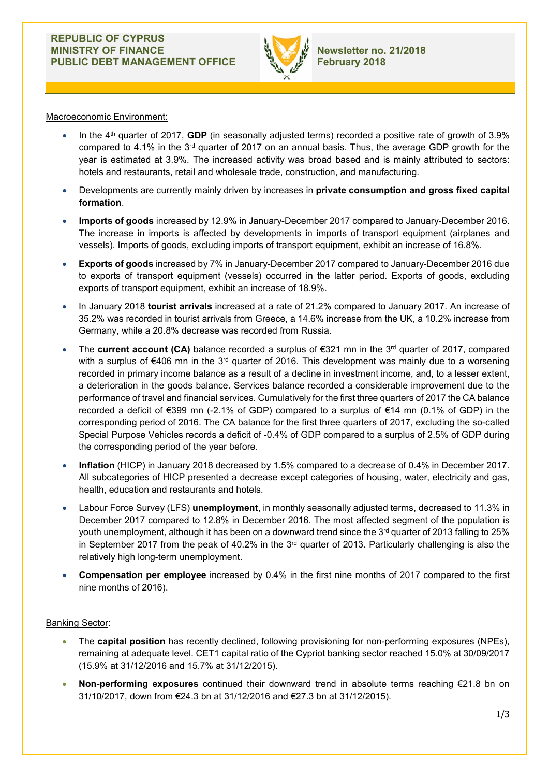

## Macroeconomic Environment:

- In the  $4<sup>th</sup>$  quarter of 2017, GDP (in seasonally adjusted terms) recorded a positive rate of growth of 3.9% compared to 4.1% in the  $3<sup>rd</sup>$  quarter of 2017 on an annual basis. Thus, the average GDP growth for the year is estimated at 3.9%. The increased activity was broad based and is mainly attributed to sectors: hotels and restaurants, retail and wholesale trade, construction, and manufacturing.
- Developments are currently mainly driven by increases in private consumption and gross fixed capital formation.
- Imports of goods increased by 12.9% in January-December 2017 compared to January-December 2016. The increase in imports is affected by developments in imports of transport equipment (airplanes and vessels). Imports of goods, excluding imports of transport equipment, exhibit an increase of 16.8%.
- Exports of goods increased by 7% in January-December 2017 compared to January-December 2016 due to exports of transport equipment (vessels) occurred in the latter period. Exports of goods, excluding exports of transport equipment, exhibit an increase of 18.9%.
- In January 2018 tourist arrivals increased at a rate of 21.2% compared to January 2017. An increase of 35.2% was recorded in tourist arrivals from Greece, a 14.6% increase from the UK, a 10.2% increase from Germany, while a 20.8% decrease was recorded from Russia.
- The current account (CA) balance recorded a surplus of  $\epsilon$ 321 mn in the 3<sup>rd</sup> quarter of 2017, compared with a surplus of €406 mn in the 3<sup>rd</sup> quarter of 2016. This development was mainly due to a worsening recorded in primary income balance as a result of a decline in investment income, and, to a lesser extent, a deterioration in the goods balance. Services balance recorded a considerable improvement due to the performance of travel and financial services. Cumulatively for the first three quarters of 2017 the CA balance recorded a deficit of €399 mn (-2.1% of GDP) compared to a surplus of €14 mn (0.1% of GDP) in the corresponding period of 2016. The CA balance for the first three quarters of 2017, excluding the so-called Special Purpose Vehicles records a deficit of -0.4% of GDP compared to a surplus of 2.5% of GDP during the corresponding period of the year before.
- Inflation (HICP) in January 2018 decreased by 1.5% compared to a decrease of 0.4% in December 2017. All subcategories of HICP presented a decrease except categories of housing, water, electricity and gas, health, education and restaurants and hotels.
- Labour Force Survey (LFS) unemployment, in monthly seasonally adjusted terms, decreased to 11.3% in December 2017 compared to 12.8% in December 2016. The most affected segment of the population is youth unemployment, although it has been on a downward trend since the 3<sup>rd</sup> quarter of 2013 falling to 25% in September 2017 from the peak of 40.2% in the  $3<sup>rd</sup>$  quarter of 2013. Particularly challenging is also the relatively high long-term unemployment.
- Compensation per employee increased by 0.4% in the first nine months of 2017 compared to the first nine months of 2016).

### Banking Sector:

- The capital position has recently declined, following provisioning for non-performing exposures (NPEs), remaining at adequate level. CET1 capital ratio of the Cypriot banking sector reached 15.0% at 30/09/2017 (15.9% at 31/12/2016 and 15.7% at 31/12/2015).
- Non-performing exposures continued their downward trend in absolute terms reaching  $\epsilon$ 21.8 bn on 31/10/2017, down from €24.3 bn at 31/12/2016 and €27.3 bn at 31/12/2015).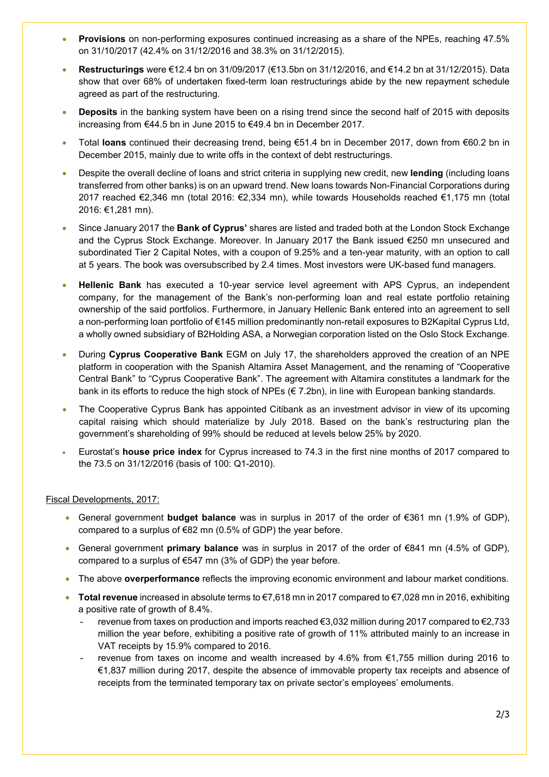- **Provisions** on non-performing exposures continued increasing as a share of the NPEs, reaching 47.5% on 31/10/2017 (42.4% on 31/12/2016 and 38.3% on 31/12/2015).
- Restructurings were €12.4 bn on 31/09/2017 (€13.5bn on 31/12/2016, and €14.2 bn at 31/12/2015). Data show that over 68% of undertaken fixed-term loan restructurings abide by the new repayment schedule agreed as part of the restructuring.
- Deposits in the banking system have been on a rising trend since the second half of 2015 with deposits increasing from €44.5 bn in June 2015 to €49.4 bn in December 2017.
- Total loans continued their decreasing trend, being €51.4 bn in December 2017, down from €60.2 bn in December 2015, mainly due to write offs in the context of debt restructurings.
- Despite the overall decline of loans and strict criteria in supplying new credit, new lending (including loans transferred from other banks) is on an upward trend. New loans towards Non-Financial Corporations during 2017 reached €2,346 mn (total 2016: €2,334 mn), while towards Households reached €1,175 mn (total 2016: €1,281 mn).
- Since January 2017 the Bank of Cyprus' shares are listed and traded both at the London Stock Exchange and the Cyprus Stock Exchange. Moreover. In January 2017 the Βank issued €250 mn unsecured and subordinated Tier 2 Capital Notes, with a coupon of 9.25% and a ten-year maturity, with an option to call at 5 years. The book was oversubscribed by 2.4 times. Most investors were UK-based fund managers.
- Hellenic Bank has executed a 10-year service level agreement with APS Cyprus, an independent company, for the management of the Bank's non-performing loan and real estate portfolio retaining ownership of the said portfolios. Furthermore, in January Hellenic Bank entered into an agreement to sell a non-performing loan portfolio of €145 million predominantly non-retail exposures to B2Kapital Cyprus Ltd, a wholly owned subsidiary of B2Holding ASA, a Norwegian corporation listed on the Oslo Stock Exchange.
- During Cyprus Cooperative Bank EGM on July 17, the shareholders approved the creation of an NPE platform in cooperation with the Spanish Altamira Asset Management, and the renaming of "Cooperative Central Bank" to "Cyprus Cooperative Bank". The agreement with Altamira constitutes a landmark for the bank in its efforts to reduce the high stock of NPEs (€ 7.2bn), in line with European banking standards.
- Τhe Cooperative Cyprus Bank has appointed Citibank as an investment advisor in view of its upcoming capital raising which should materialize by July 2018. Based on the bank's restructuring plan the government's shareholding of 99% should be reduced at levels below 25% by 2020.
- Eurostat's house price index for Cyprus increased to 74.3 in the first nine months of 2017 compared to the 73.5 on 31/12/2016 (basis of 100: Q1-2010).

# Fiscal Developments, 2017:

- General government **budget balance** was in surplus in 2017 of the order of  $\epsilon$ 361 mn (1.9% of GDP), compared to a surplus of €82 mn (0.5% of GDP) the year before.
- General government **primary balance** was in surplus in 2017 of the order of  $\epsilon$ 841 mn (4.5% of GDP), compared to a surplus of €547 mn (3% of GDP) the year before.
- The above **overperformance** reflects the improving economic environment and labour market conditions.
- Total revenue increased in absolute terms to €7,618 mn in 2017 compared to €7,028 mn in 2016, exhibiting a positive rate of growth of 8.4%.
	- revenue from taxes on production and imports reached €3,032 million during 2017 compared to €2,733 million the year before, exhibiting a positive rate of growth of 11% attributed mainly to an increase in VAT receipts by 15.9% compared to 2016.
	- revenue from taxes on income and wealth increased by 4.6% from  $\epsilon$ 1,755 million during 2016 to €1,837 million during 2017, despite the absence of immovable property tax receipts and absence of receipts from the terminated temporary tax on private sector's employees' emoluments.